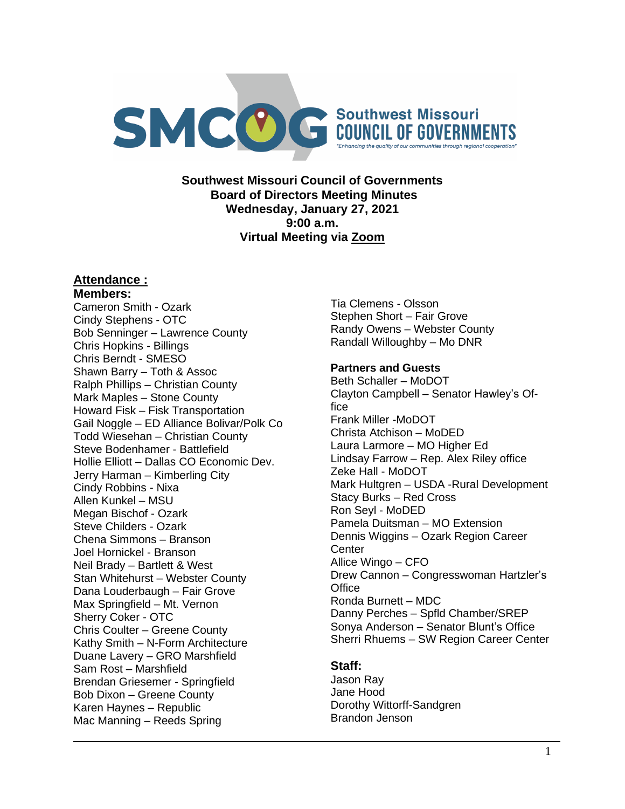

**Southwest Missouri Council of Governments Board of Directors Meeting Minutes Wednesday, January 27, 2021 9:00 a.m. Virtual Meeting via Zoom**

# **Attendance :**

## **Members:**

Cameron Smith - Ozark Cindy Stephens - OTC Bob Senninger – Lawrence County Chris Hopkins - Billings Chris Berndt - SMESO Shawn Barry – Toth & Assoc Ralph Phillips – Christian County Mark Maples – Stone County Howard Fisk – Fisk Transportation Gail Noggle – ED Alliance Bolivar/Polk Co Todd Wiesehan – Christian County Steve Bodenhamer - Battlefield Hollie Elliott – Dallas CO Economic Dev. Jerry Harman – Kimberling City Cindy Robbins - Nixa Allen Kunkel – MSU Megan Bischof - Ozark Steve Childers - Ozark Chena Simmons – Branson Joel Hornickel - Branson Neil Brady – Bartlett & West Stan Whitehurst – Webster County Dana Louderbaugh – Fair Grove Max Springfield – Mt. Vernon Sherry Coker - OTC Chris Coulter – Greene County Kathy Smith – N-Form Architecture Duane Lavery – GRO Marshfield Sam Rost – Marshfield Brendan Griesemer - Springfield Bob Dixon – Greene County Karen Haynes – Republic Mac Manning – Reeds Spring

Tia Clemens - Olsson Stephen Short – Fair Grove Randy Owens – Webster County Randall Willoughby – Mo DNR

### **Partners and Guests**

Beth Schaller – MoDOT Clayton Campbell – Senator Hawley's Office Frank Miller -MoDOT Christa Atchison – MoDED Laura Larmore – MO Higher Ed Lindsay Farrow – Rep. Alex Riley office Zeke Hall - MoDOT Mark Hultgren – USDA -Rural Development Stacy Burks – Red Cross Ron Seyl - MoDED Pamela Duitsman – MO Extension Dennis Wiggins – Ozark Region Career **Center** Allice Wingo – CFO Drew Cannon – Congresswoman Hartzler's **Office** Ronda Burnett – MDC Danny Perches – Spfld Chamber/SREP Sonya Anderson – Senator Blunt's Office Sherri Rhuems – SW Region Career Center

## **Staff:**

Jason Ray Jane Hood Dorothy Wittorff-Sandgren Brandon Jenson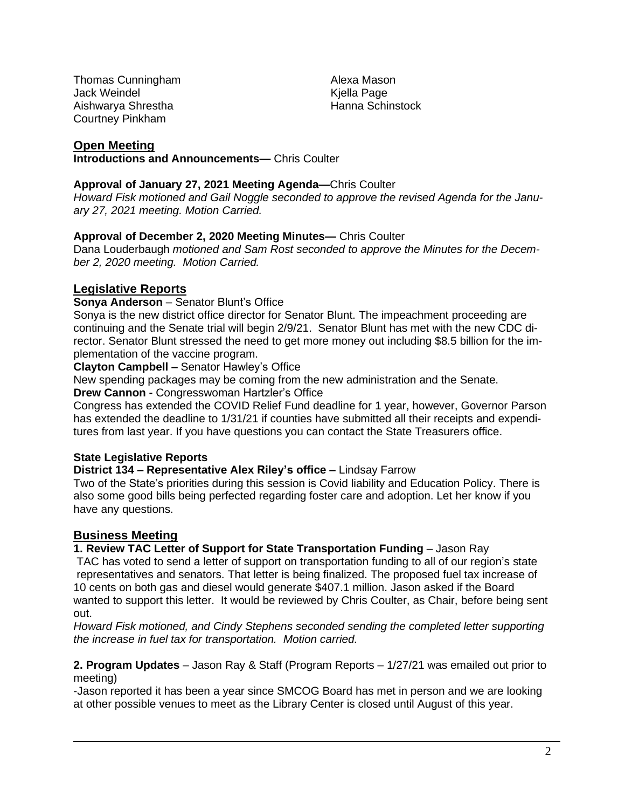Thomas Cunningham Jack Weindel Aishwarya Shrestha Courtney Pinkham

Alexa Mason Kjella Page Hanna Schinstock

# **Open Meeting**

**Introductions and Announcements—** Chris Coulter

## **Approval of January 27, 2021 Meeting Agenda—**Chris Coulter

*Howard Fisk motioned and Gail Noggle seconded to approve the revised Agenda for the January 27, 2021 meeting. Motion Carried.*

## **Approval of December 2, 2020 Meeting Minutes—** Chris Coulter

Dana Louderbaugh *motioned and Sam Rost seconded to approve the Minutes for the December 2, 2020 meeting. Motion Carried.*

# **Legislative Reports**

## **Sonya Anderson** – Senator Blunt's Office

Sonya is the new district office director for Senator Blunt. The impeachment proceeding are continuing and the Senate trial will begin 2/9/21. Senator Blunt has met with the new CDC director. Senator Blunt stressed the need to get more money out including \$8.5 billion for the implementation of the vaccine program.

**Clayton Campbell –** Senator Hawley's Office

New spending packages may be coming from the new administration and the Senate.

**Drew Cannon -** Congresswoman Hartzler's Office

Congress has extended the COVID Relief Fund deadline for 1 year, however, Governor Parson has extended the deadline to 1/31/21 if counties have submitted all their receipts and expenditures from last year. If you have questions you can contact the State Treasurers office.

# **State Legislative Reports**

**District 134 – Representative Alex Riley's office –** Lindsay Farrow

Two of the State's priorities during this session is Covid liability and Education Policy. There is also some good bills being perfected regarding foster care and adoption. Let her know if you have any questions.

# **Business Meeting**

**1. Review TAC Letter of Support for State Transportation Funding** – Jason Ray

TAC has voted to send a letter of support on transportation funding to all of our region's state representatives and senators. That letter is being finalized. The proposed fuel tax increase of 10 cents on both gas and diesel would generate \$407.1 million. Jason asked if the Board wanted to support this letter. It would be reviewed by Chris Coulter, as Chair, before being sent out.

*Howard Fisk motioned, and Cindy Stephens seconded sending the completed letter supporting the increase in fuel tax for transportation. Motion carried.*

**2. Program Updates** – Jason Ray & Staff (Program Reports – 1/27/21 was emailed out prior to meeting)

-Jason reported it has been a year since SMCOG Board has met in person and we are looking at other possible venues to meet as the Library Center is closed until August of this year.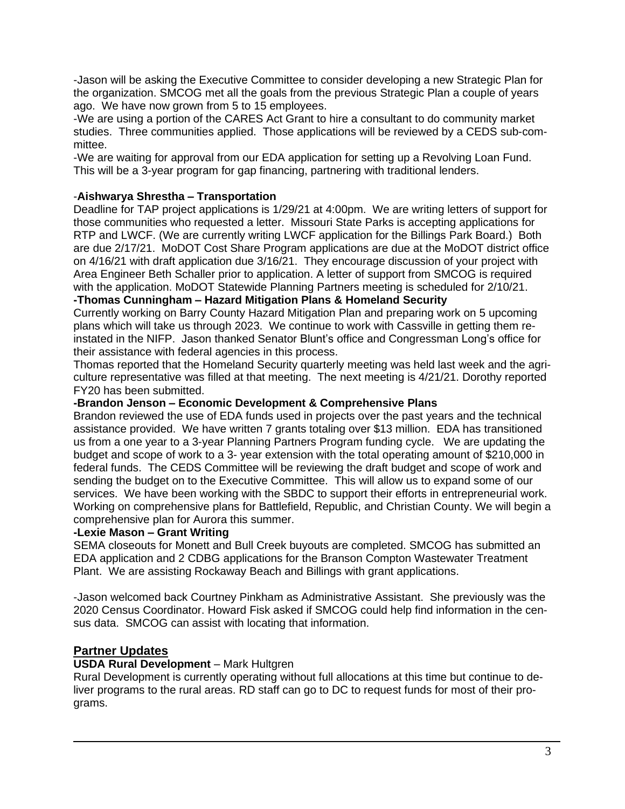-Jason will be asking the Executive Committee to consider developing a new Strategic Plan for the organization. SMCOG met all the goals from the previous Strategic Plan a couple of years ago. We have now grown from 5 to 15 employees.

-We are using a portion of the CARES Act Grant to hire a consultant to do community market studies. Three communities applied. Those applications will be reviewed by a CEDS sub-committee.

-We are waiting for approval from our EDA application for setting up a Revolving Loan Fund. This will be a 3-year program for gap financing, partnering with traditional lenders.

## -**Aishwarya Shrestha – Transportation**

Deadline for TAP project applications is 1/29/21 at 4:00pm. We are writing letters of support for those communities who requested a letter. Missouri State Parks is accepting applications for RTP and LWCF. (We are currently writing LWCF application for the Billings Park Board.) Both are due 2/17/21. MoDOT Cost Share Program applications are due at the MoDOT district office on 4/16/21 with draft application due 3/16/21. They encourage discussion of your project with Area Engineer Beth Schaller prior to application. A letter of support from SMCOG is required with the application. MoDOT Statewide Planning Partners meeting is scheduled for 2/10/21.

### **-Thomas Cunningham – Hazard Mitigation Plans & Homeland Security**

Currently working on Barry County Hazard Mitigation Plan and preparing work on 5 upcoming plans which will take us through 2023. We continue to work with Cassville in getting them reinstated in the NIFP. Jason thanked Senator Blunt's office and Congressman Long's office for their assistance with federal agencies in this process.

Thomas reported that the Homeland Security quarterly meeting was held last week and the agriculture representative was filled at that meeting. The next meeting is 4/21/21. Dorothy reported FY20 has been submitted.

### **-Brandon Jenson – Economic Development & Comprehensive Plans**

Brandon reviewed the use of EDA funds used in projects over the past years and the technical assistance provided. We have written 7 grants totaling over \$13 million. EDA has transitioned us from a one year to a 3-year Planning Partners Program funding cycle. We are updating the budget and scope of work to a 3- year extension with the total operating amount of \$210,000 in federal funds. The CEDS Committee will be reviewing the draft budget and scope of work and sending the budget on to the Executive Committee. This will allow us to expand some of our services. We have been working with the SBDC to support their efforts in entrepreneurial work. Working on comprehensive plans for Battlefield, Republic, and Christian County. We will begin a comprehensive plan for Aurora this summer.

#### **-Lexie Mason – Grant Writing**

SEMA closeouts for Monett and Bull Creek buyouts are completed. SMCOG has submitted an EDA application and 2 CDBG applications for the Branson Compton Wastewater Treatment Plant. We are assisting Rockaway Beach and Billings with grant applications.

-Jason welcomed back Courtney Pinkham as Administrative Assistant. She previously was the 2020 Census Coordinator. Howard Fisk asked if SMCOG could help find information in the census data. SMCOG can assist with locating that information.

## **Partner Updates**

## **USDA Rural Development** – Mark Hultgren

Rural Development is currently operating without full allocations at this time but continue to deliver programs to the rural areas. RD staff can go to DC to request funds for most of their programs.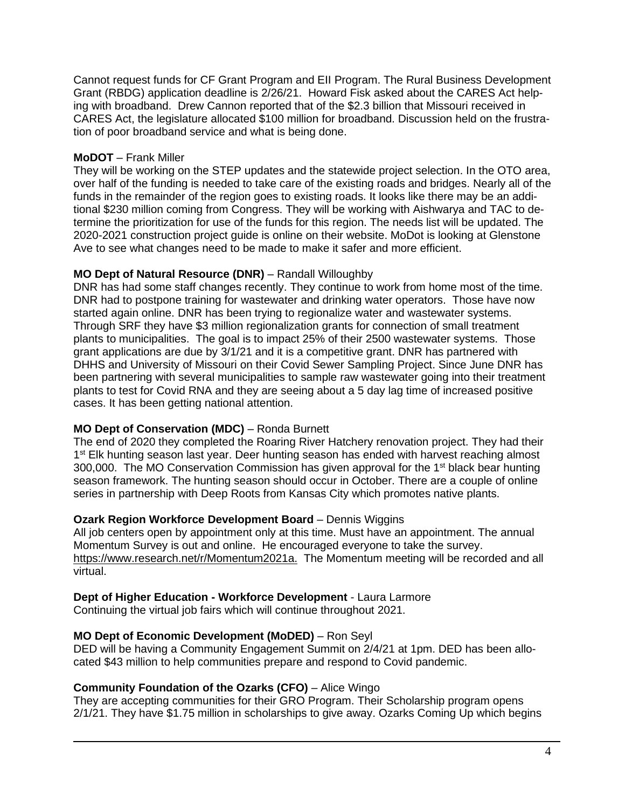Cannot request funds for CF Grant Program and EII Program. The Rural Business Development Grant (RBDG) application deadline is 2/26/21. Howard Fisk asked about the CARES Act helping with broadband. Drew Cannon reported that of the \$2.3 billion that Missouri received in CARES Act, the legislature allocated \$100 million for broadband. Discussion held on the frustration of poor broadband service and what is being done.

## **MoDOT** – Frank Miller

They will be working on the STEP updates and the statewide project selection. In the OTO area, over half of the funding is needed to take care of the existing roads and bridges. Nearly all of the funds in the remainder of the region goes to existing roads. It looks like there may be an additional \$230 million coming from Congress. They will be working with Aishwarya and TAC to determine the prioritization for use of the funds for this region. The needs list will be updated. The 2020-2021 construction project guide is online on their website. MoDot is looking at Glenstone Ave to see what changes need to be made to make it safer and more efficient.

# **MO Dept of Natural Resource (DNR)** – Randall Willoughby

DNR has had some staff changes recently. They continue to work from home most of the time. DNR had to postpone training for wastewater and drinking water operators. Those have now started again online. DNR has been trying to regionalize water and wastewater systems. Through SRF they have \$3 million regionalization grants for connection of small treatment plants to municipalities. The goal is to impact 25% of their 2500 wastewater systems. Those grant applications are due by 3/1/21 and it is a competitive grant. DNR has partnered with DHHS and University of Missouri on their Covid Sewer Sampling Project. Since June DNR has been partnering with several municipalities to sample raw wastewater going into their treatment plants to test for Covid RNA and they are seeing about a 5 day lag time of increased positive cases. It has been getting national attention.

# **MO Dept of Conservation (MDC)** – Ronda Burnett

The end of 2020 they completed the Roaring River Hatchery renovation project. They had their 1<sup>st</sup> Elk hunting season last year. Deer hunting season has ended with harvest reaching almost 300,000. The MO Conservation Commission has given approval for the 1<sup>st</sup> black bear hunting season framework. The hunting season should occur in October. There are a couple of online series in partnership with Deep Roots from Kansas City which promotes native plants.

## **Ozark Region Workforce Development Board** – Dennis Wiggins

All job centers open by appointment only at this time. Must have an appointment. The annual Momentum Survey is out and online. He encouraged everyone to take the survey. [https://www.research.net/r/Momentum2021a.](https://www.research.net/r/Momentum2021a) The Momentum meeting will be recorded and all virtual.

## **Dept of Higher Education - Workforce Development** - Laura Larmore

Continuing the virtual job fairs which will continue throughout 2021.

# **MO Dept of Economic Development (MoDED)** – Ron Seyl

DED will be having a Community Engagement Summit on 2/4/21 at 1pm. DED has been allocated \$43 million to help communities prepare and respond to Covid pandemic.

## **Community Foundation of the Ozarks (CFO)** – Alice Wingo

They are accepting communities for their GRO Program. Their Scholarship program opens 2/1/21. They have \$1.75 million in scholarships to give away. Ozarks Coming Up which begins